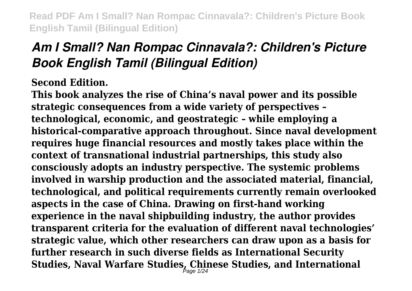# *Am I Small? Nan Rompac Cinnavala?: Children's Picture Book English Tamil (Bilingual Edition)*

**Second Edition.**

**This book analyzes the rise of China's naval power and its possible strategic consequences from a wide variety of perspectives – technological, economic, and geostrategic – while employing a historical-comparative approach throughout. Since naval development requires huge financial resources and mostly takes place within the context of transnational industrial partnerships, this study also consciously adopts an industry perspective. The systemic problems involved in warship production and the associated material, financial, technological, and political requirements currently remain overlooked aspects in the case of China. Drawing on first-hand working experience in the naval shipbuilding industry, the author provides transparent criteria for the evaluation of different naval technologies' strategic value, which other researchers can draw upon as a basis for further research in such diverse fields as International Security Studies, Naval Warfare Studies, Chinese Studies, and International** Page 1/24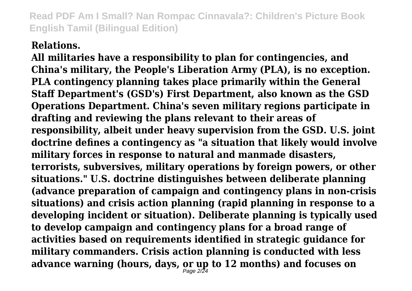# **Relations.**

**All militaries have a responsibility to plan for contingencies, and China's military, the People's Liberation Army (PLA), is no exception. PLA contingency planning takes place primarily within the General Staff Department's (GSD's) First Department, also known as the GSD Operations Department. China's seven military regions participate in drafting and reviewing the plans relevant to their areas of responsibility, albeit under heavy supervision from the GSD. U.S. joint doctrine defines a contingency as "a situation that likely would involve military forces in response to natural and manmade disasters, terrorists, subversives, military operations by foreign powers, or other situations." U.S. doctrine distinguishes between deliberate planning (advance preparation of campaign and contingency plans in non-crisis situations) and crisis action planning (rapid planning in response to a developing incident or situation). Deliberate planning is typically used to develop campaign and contingency plans for a broad range of activities based on requirements identified in strategic guidance for military commanders. Crisis action planning is conducted with less advance warning (hours, days, or up to 12 months) and focuses on** Page 2/24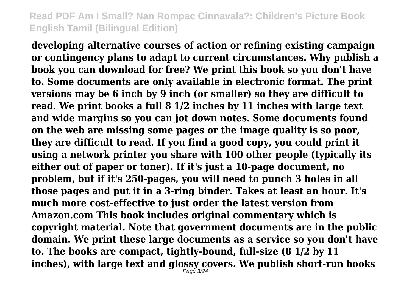**developing alternative courses of action or refining existing campaign or contingency plans to adapt to current circumstances. Why publish a book you can download for free? We print this book so you don't have to. Some documents are only available in electronic format. The print versions may be 6 inch by 9 inch (or smaller) so they are difficult to read. We print books a full 8 1/2 inches by 11 inches with large text and wide margins so you can jot down notes. Some documents found on the web are missing some pages or the image quality is so poor, they are difficult to read. If you find a good copy, you could print it using a network printer you share with 100 other people (typically its either out of paper or toner). If it's just a 10-page document, no problem, but if it's 250-pages, you will need to punch 3 holes in all those pages and put it in a 3-ring binder. Takes at least an hour. It's much more cost-effective to just order the latest version from Amazon.com This book includes original commentary which is copyright material. Note that government documents are in the public domain. We print these large documents as a service so you don't have to. The books are compact, tightly-bound, full-size (8 1/2 by 11 inches), with large text and glossy covers. We publish short-run books** Page 3/24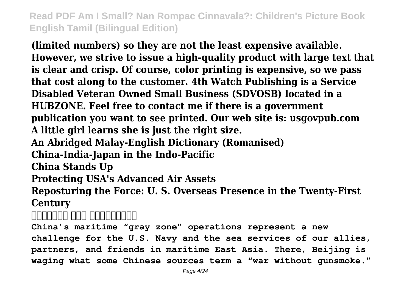**(limited numbers) so they are not the least expensive available. However, we strive to issue a high-quality product with large text that is clear and crisp. Of course, color printing is expensive, so we pass that cost along to the customer. 4th Watch Publishing is a Service Disabled Veteran Owned Small Business (SDVOSB) located in a HUBZONE. Feel free to contact me if there is a government publication you want to see printed. Our web site is: usgovpub.com A little girl learns she is just the right size. An Abridged Malay-English Dictionary (Romanised) China-India-Japan in the Indo-Pacific China Stands Up Protecting USA's Advanced Air Assets Reposturing the Force: U. S. Overseas Presence in the Twenty-First Century**

#### **உருண்டு போன குறுமிளகு**

**China's maritime "gray zone" operations represent a new challenge for the U.S. Navy and the sea services of our allies, partners, and friends in maritime East Asia. There, Beijing is waging what some Chinese sources term a "war without gunsmoke."**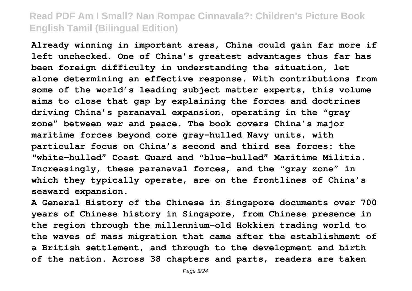**Already winning in important areas, China could gain far more if left unchecked. One of China's greatest advantages thus far has been foreign difficulty in understanding the situation, let alone determining an effective response. With contributions from some of the world's leading subject matter experts, this volume aims to close that gap by explaining the forces and doctrines driving China's paranaval expansion, operating in the "gray zone" between war and peace. The book covers China's major maritime forces beyond core gray-hulled Navy units, with particular focus on China's second and third sea forces: the "white-hulled" Coast Guard and "blue-hulled" Maritime Militia. Increasingly, these paranaval forces, and the "gray zone" in which they typically operate, are on the frontlines of China's seaward expansion.**

**A General History of the Chinese in Singapore documents over 700 years of Chinese history in Singapore, from Chinese presence in the region through the millennium-old Hokkien trading world to the waves of mass migration that came after the establishment of a British settlement, and through to the development and birth of the nation. Across 38 chapters and parts, readers are taken**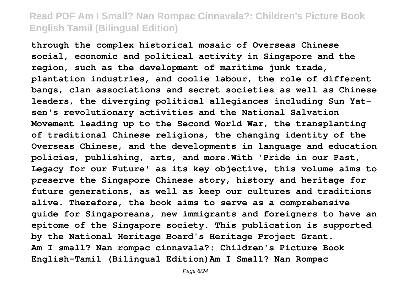**through the complex historical mosaic of Overseas Chinese social, economic and political activity in Singapore and the region, such as the development of maritime junk trade, plantation industries, and coolie labour, the role of different bangs, clan associations and secret societies as well as Chinese leaders, the diverging political allegiances including Sun Yatsen's revolutionary activities and the National Salvation Movement leading up to the Second World War, the transplanting of traditional Chinese religions, the changing identity of the Overseas Chinese, and the developments in language and education policies, publishing, arts, and more.With 'Pride in our Past, Legacy for our Future' as its key objective, this volume aims to preserve the Singapore Chinese story, history and heritage for future generations, as well as keep our cultures and traditions alive. Therefore, the book aims to serve as a comprehensive guide for Singaporeans, new immigrants and foreigners to have an epitome of the Singapore society. This publication is supported by the National Heritage Board's Heritage Project Grant. Am I small? Nan rompac cinnavala?: Children's Picture Book English-Tamil (Bilingual Edition)Am I Small? Nan Rompac**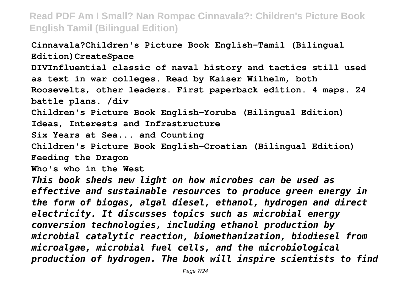**Cinnavala?Children's Picture Book English-Tamil (Bilingual Edition)CreateSpace DIVInfluential classic of naval history and tactics still used as text in war colleges. Read by Kaiser Wilhelm, both Roosevelts, other leaders. First paperback edition. 4 maps. 24 battle plans. /div Children's Picture Book English-Yoruba (Bilingual Edition) Ideas, Interests and Infrastructure Six Years at Sea... and Counting Children's Picture Book English-Croatian (Bilingual Edition) Feeding the Dragon Who's who in the West** *This book sheds new light on how microbes can be used as effective and sustainable resources to produce green energy in the form of biogas, algal diesel, ethanol, hydrogen and direct electricity. It discusses topics such as microbial energy conversion technologies, including ethanol production by microbial catalytic reaction, biomethanization, biodiesel from microalgae, microbial fuel cells, and the microbiological production of hydrogen. The book will inspire scientists to find*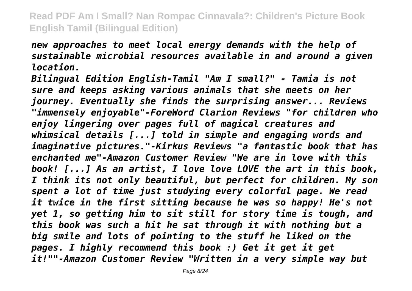*new approaches to meet local energy demands with the help of sustainable microbial resources available in and around a given location.*

*Bilingual Edition English-Tamil "Am I small?" - Tamia is not sure and keeps asking various animals that she meets on her journey. Eventually she finds the surprising answer... Reviews "immensely enjoyable"-ForeWord Clarion Reviews "for children who enjoy lingering over pages full of magical creatures and whimsical details [...] told in simple and engaging words and imaginative pictures."-Kirkus Reviews "a fantastic book that has enchanted me"-Amazon Customer Review "We are in love with this book! [...] As an artist, I love love LOVE the art in this book, I think its not only beautiful, but perfect for children. My son spent a lot of time just studying every colorful page. We read it twice in the first sitting because he was so happy! He's not yet 1, so getting him to sit still for story time is tough, and this book was such a hit he sat through it with nothing but a big smile and lots of pointing to the stuff he liked on the pages. I highly recommend this book :) Get it get it get it!""-Amazon Customer Review "Written in a very simple way but*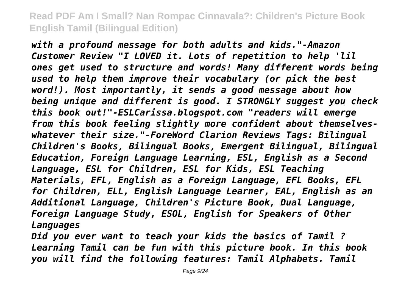*with a profound message for both adults and kids."-Amazon Customer Review "I LOVED it. Lots of repetition to help 'lil ones get used to structure and words! Many different words being used to help them improve their vocabulary (or pick the best word!). Most importantly, it sends a good message about how being unique and different is good. I STRONGLY suggest you check this book out!"-ESLCarissa.blogspot.com "readers will emerge from this book feeling slightly more confident about themselveswhatever their size."-ForeWord Clarion Reviews Tags: Bilingual Children's Books, Bilingual Books, Emergent Bilingual, Bilingual Education, Foreign Language Learning, ESL, English as a Second Language, ESL for Children, ESL for Kids, ESL Teaching Materials, EFL, English as a Foreign Language, EFL Books, EFL for Children, ELL, English Language Learner, EAL, English as an Additional Language, Children's Picture Book, Dual Language, Foreign Language Study, ESOL, English for Speakers of Other Languages*

*Did you ever want to teach your kids the basics of Tamil ? Learning Tamil can be fun with this picture book. In this book you will find the following features: Tamil Alphabets. Tamil*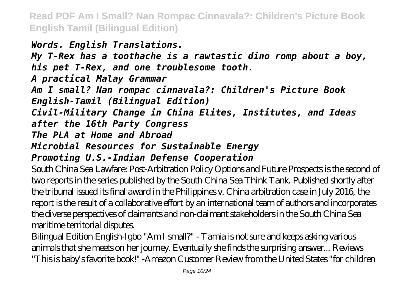*Words. English Translations. My T-Rex has a toothache is a rawtastic dino romp about a boy, his pet T-Rex, and one troublesome tooth. A practical Malay Grammar Am I small? Nan rompac cinnavala?: Children's Picture Book English-Tamil (Bilingual Edition) Civil-Military Change in China Elites, Institutes, and Ideas after the 16th Party Congress The PLA at Home and Abroad Microbial Resources for Sustainable Energy Promoting U.S.-Indian Defense Cooperation* South China Sea Lawfare: Post-Arbitration Policy Options and Future Prospects is the second of two reports in the series published by the South China Sea Think Tank. Published shortly after the tribunal issued its final award in the Philippines v. China arbitration case in July 2016, the report is the result of a collaborative effort by an international team of authors and incorporates the diverse perspectives of claimants and non-claimant stakeholders in the South China Sea maritime territorial disputes. Bilingual Edition English-Igbo "Am I small?" - Tamia is not sure and keeps asking various animals that she meets on her journey. Eventually she finds the surprising answer... Reviews

"This is baby's favorite book!" -Amazon Customer Review from the United States "for children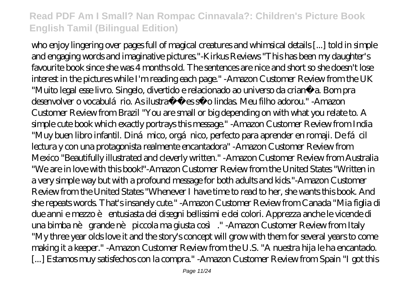who enjoy lingering over pages full of magical creatures and whimsical details [...] told in simple and engaging words and imaginative pictures."-Kirkus Reviews "This has been my daughter's favourite book since she was 4 months old. The sentences are nice and short so she doesn't lose interest in the pictures while I'm reading each page." -Amazon Customer Review from the UK "Muito legal esse livro. Singelo, divertido e relacionado ao universo da criança. Bom pra desenvolver o vocabulário. As ilustrações são lindas. Meu filho adorou." -Amazon Customer Review from Brazil "You are small or big depending on with what you relate to. A simple cute book which exactly portrays this message." -Amazon Customer Review from India "Muy buen libro infantil. Diná mico, orgánico, perfecto para aprender en romaji. De fácil lectura y con una protagonista realmente encantadora" -Amazon Customer Review from Mexico "Beautifully illustrated and cleverly written." -Amazon Customer Review from Australia "We are in love with this book!"-Amazon Customer Review from the United States "Written in a very simple way but with a profound message for both adults and kids."-Amazon Customer Review from the United States "Whenever I have time to read to her, she wants this book. And she repeats words. That's insanely cute." -Amazon Customer Review from Canada "Mia figlia di due anni e mezzo è entusiasta dei disegni bellissimi e dei colori. Apprezza anche le vicende di una bimba nè grande nè piccola ma giusta così." -Amazon Customer Review from Italy "My three year olds love it and the story's concept will grow with them for several years to come making it a keeper." -Amazon Customer Review from the U.S. "A nuestra hija le ha encantado. [...] Estamos muy satisfechos con la compra." -Amazon Customer Review from Spain "I got this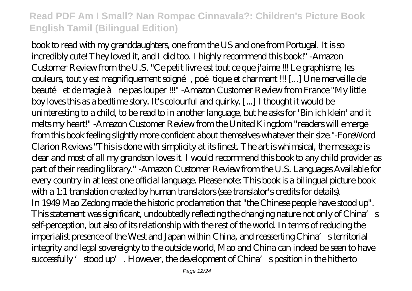book to read with my granddaughters, one from the US and one from Portugal. It is so incredibly cute! They loved it, and I did too. I highly recommend this book!" -Amazon Customer Review from the U.S. "Ce petit livre est tout ce que j'aime !!! Le graphisme, les couleurs, tout y est magnifiquement soigné, poétique et charmant !!! [...] Une merveille de beauté et de magie à ne pas louper !!!" -Amazon Customer Review from France "My little boy loves this as a bedtime story. It's colourful and quirky. [...] I thought it would be uninteresting to a child, to be read to in another language, but he asks for 'Bin ich klein' and it melts my heart!" -Amazon Customer Review from the United Kingdom "readers will emerge from this book feeling slightly more confident about themselves-whatever their size."-ForeWord Clarion Reviews "This is done with simplicity at its finest. The art is whimsical, the message is clear and most of all my grandson loves it. I would recommend this book to any child provider as part of their reading library." -Amazon Customer Review from the U.S. Languages Available for every country in at least one official language. Please note: This book is a bilingual picture book with a 1:1 translation created by human translators (see translator's credits for details). In 1949 Mao Zedong made the historic proclamation that "the Chinese people have stood up". This statement was significant, undoubtedly reflecting the changing nature not only of China's self-perception, but also of its relationship with the rest of the world. In terms of reducing the imperialist presence of the West and Japan within China, and reasserting China's territorial integrity and legal sovereignty to the outside world, Mao and China can indeed be seen to have successfully 'stood up'. However, the development of China's position in the hitherto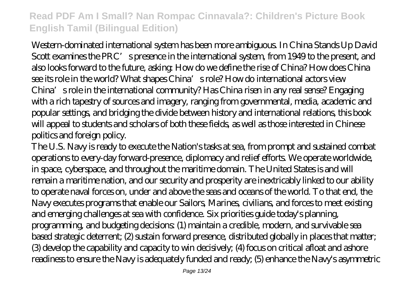Western-dominated international system has been more ambiguous. In China Stands Up David Scott examines the PRC's presence in the international system, from 1949 to the present, and also looks forward to the future, asking: How do we define the rise of China? How does China see its role in the world? What shapes China's role? How do international actors view China's role in the international community? Has China risen in any real sense? Engaging with a rich tapestry of sources and imagery, ranging from governmental, media, academic and popular settings, and bridging the divide between history and international relations, this book will appeal to students and scholars of both these fields, as well as those interested in Chinese politics and foreign policy.

The U.S. Navy is ready to execute the Nation's tasks at sea, from prompt and sustained combat operations to every-day forward-presence, diplomacy and relief efforts. We operate worldwide, in space, cyberspace, and throughout the maritime domain. The United States is and will remain a maritime nation, and our security and prosperity are inextricably linked to our ability to operate naval forces on, under and above the seas and oceans of the world. To that end, the Navy executes programs that enable our Sailors, Marines, civilians, and forces to meet existing and emerging challenges at sea with confidence. Six priorities guide today's planning, programming, and budgeting decisions: (1) maintain a credible, modern, and survivable sea based strategic deterrent; (2) sustain forward presence, distributed globally in places that matter; (3) develop the capability and capacity to win decisively; (4) focus on critical afloat and ashore readiness to ensure the Navy is adequately funded and ready; (5) enhance the Navy's asymmetric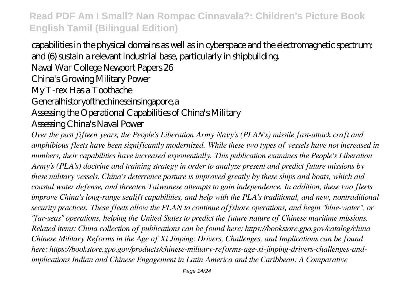#### capabilities in the physical domains as well as in cyberspace and the electromagnetic spectrum; and (6) sustain a relevant industrial base, particularly in shipbuilding. Naval War College Newport Papers 26 China's Growing Military Power My T-rex Has a Toothache Generalhistoryofthechineseinsingapore,a Assessing the Operational Capabilities of China's Military Assessing China's Naval Power

*Over the past fifteen years, the People's Liberation Army Navy's (PLAN's) missile fast-attack craft and amphibious fleets have been significantly modernized. While these two types of vessels have not increased in numbers, their capabilities have increased exponentially. This publication examines the People's Liberation Army's (PLA's) doctrine and training strategy in order to analyze present and predict future missions by these military vessels. China's deterrence posture is improved greatly by these ships and boats, which aid coastal water defense, and threaten Taiwanese attempts to gain independence. In addition, these two fleets improve China's long-range sealift capabilities, and help with the PLA's traditional, and new, nontraditional security practices. These fleets allow the PLAN to continue offshore operations, and begin "blue-water", or "far-seas" operations, helping the United States to predict the future nature of Chinese maritime missions. Related items: China collection of publications can be found here: https://bookstore.gpo.gov/catalog/china Chinese Military Reforms in the Age of Xi Jinping: Drivers, Challenges, and Implications can be found here: https://bookstore.gpo.gov/products/chinese-military-reforms-age-xi-jinping-drivers-challenges-andimplications Indian and Chinese Engagement in Latin America and the Caribbean: A Comparative*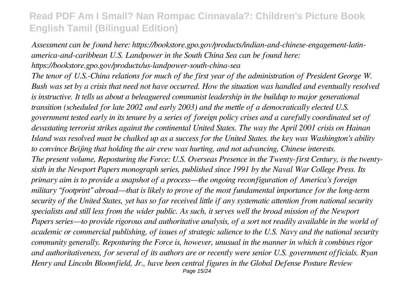*Assessment can be found here: https://bookstore.gpo.gov/products/indian-and-chinese-engagement-latinamerica-and-caribbean U.S. Landpower in the South China Sea can be found here: https://bookstore.gpo.gov/products/us-landpower-south-china-sea*

*The tenor of U.S.-China relations for much of the first year of the administration of President George W. Bush was set by a crisis that need not have occurred. How the situation was handled and eventually resolved is instructive. It tells us about a beleaguered communist leadership in the buildup to major generational transition (scheduled for late 2002 and early 2003) and the mettle of a democratically elected U.S. government tested early in its tenure by a series of foreign policy crises and a carefully coordinated set of devastating terrorist strikes against the continental United States. The way the April 2001 crisis on Hainan Island was resolved must be chalked up as a success for the United States. the key was Washington's ability to convince Beijing that holding the air crew was hurting, and not advancing, Chinese interests. The present volume, Reposturing the Force: U.S. Overseas Presence in the Twenty-first Century, is the twentysixth in the Newport Papers monograph series, published since 1991 by the Naval War College Press. Its primary aim is to provide a snapshot of a process—the ongoing reconfiguration of America's foreign military "footprint" abroad—that is likely to prove of the most fundamental importance for the long-term security of the United States, yet has so far received little if any systematic attention from national security specialists and still less from the wider public. As such, it serves well the broad mission of the Newport Papers series—to provide rigorous and authoritative analysis, of a sort not readily available in the world of academic or commercial publishing, of issues of strategic salience to the U.S. Navy and the national security community generally. Reposturing the Force is, however, unusual in the manner in which it combines rigor and authoritativeness, for several of its authors are or recently were senior U.S. government officials. Ryan Henry and Lincoln Bloomfield, Jr., have been central figures in the Global Defense Posture Review* Page 15/24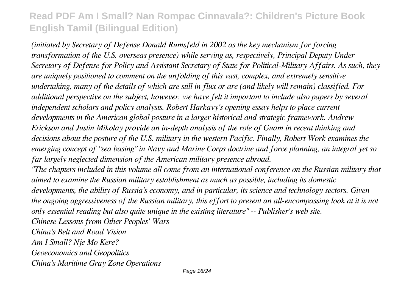*(initiated by Secretary of Defense Donald Rumsfeld in 2002 as the key mechanism for forcing transformation of the U.S. overseas presence) while serving as, respectively, Principal Deputy Under Secretary of Defense for Policy and Assistant Secretary of State for Political-Military Affairs. As such, they are uniquely positioned to comment on the unfolding of this vast, complex, and extremely sensitive undertaking, many of the details of which are still in flux or are (and likely will remain) classified. For additional perspective on the subject, however, we have felt it important to include also papers by several independent scholars and policy analysts. Robert Harkavy's opening essay helps to place current developments in the American global posture in a larger historical and strategic framework. Andrew Erickson and Justin Mikolay provide an in-depth analysis of the role of Guam in recent thinking and decisions about the posture of the U.S. military in the western Pacific. Finally, Robert Work examines the emerging concept of "sea basing" in Navy and Marine Corps doctrine and force planning, an integral yet so far largely neglected dimension of the American military presence abroad.*

*"The chapters included in this volume all come from an international conference on the Russian military that aimed to examine the Russian military establishment as much as possible, including its domestic developments, the ability of Russia's economy, and in particular, its science and technology sectors. Given the ongoing aggressiveness of the Russian military, this effort to present an all-encompassing look at it is not only essential reading but also quite unique in the existing literature" -- Publisher's web site. Chinese Lessons from Other Peoples' Wars China's Belt and Road Vision Am I Small? Nje Mo Kere? Geoeconomics and Geopolitics*

*China's Maritime Gray Zone Operations*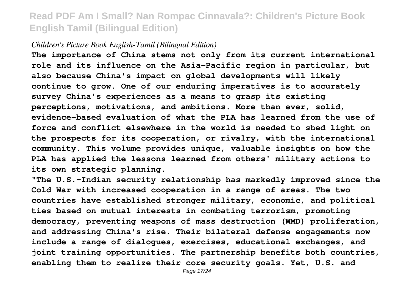#### *Children's Picture Book English-Tamil (Bilingual Edition)*

**The importance of China stems not only from its current international role and its influence on the Asia-Pacific region in particular, but also because China's impact on global developments will likely continue to grow. One of our enduring imperatives is to accurately survey China's experiences as a means to grasp its existing perceptions, motivations, and ambitions. More than ever, solid, evidence-based evaluation of what the PLA has learned from the use of force and conflict elsewhere in the world is needed to shed light on the prospects for its cooperation, or rivalry, with the international community. This volume provides unique, valuable insights on how the PLA has applied the lessons learned from others' military actions to its own strategic planning.**

**"The U.S.-Indian security relationship has markedly improved since the Cold War with increased cooperation in a range of areas. The two countries have established stronger military, economic, and political ties based on mutual interests in combating terrorism, promoting democracy, preventing weapons of mass destruction (WMD) proliferation, and addressing China's rise. Their bilateral defense engagements now include a range of dialogues, exercises, educational exchanges, and joint training opportunities. The partnership benefits both countries, enabling them to realize their core security goals. Yet, U.S. and**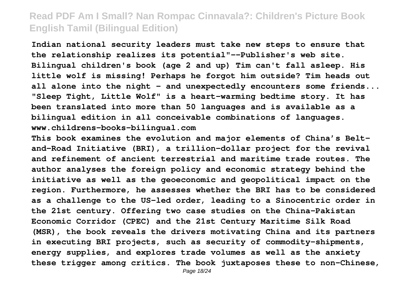**Indian national security leaders must take new steps to ensure that the relationship realizes its potential"--Publisher's web site. Bilingual children's book (age 2 and up) Tim can't fall asleep. His little wolf is missing! Perhaps he forgot him outside? Tim heads out all alone into the night - and unexpectedly encounters some friends... "Sleep Tight, Little Wolf" is a heart-warming bedtime story. It has been translated into more than 50 languages and is available as a bilingual edition in all conceivable combinations of languages. www.childrens-books-bilingual.com**

**This book examines the evolution and major elements of China's Beltand-Road Initiative (BRI), a trillion-dollar project for the revival and refinement of ancient terrestrial and maritime trade routes. The author analyses the foreign policy and economic strategy behind the initiative as well as the geoeconomic and geopolitical impact on the region. Furthermore, he assesses whether the BRI has to be considered as a challenge to the US-led order, leading to a Sinocentric order in the 21st century. Offering two case studies on the China-Pakistan Economic Corridor (CPEC) and the 21st Century Maritime Silk Road (MSR), the book reveals the drivers motivating China and its partners in executing BRI projects, such as security of commodity-shipments, energy supplies, and explores trade volumes as well as the anxiety these trigger among critics. The book juxtaposes these to non-Chinese,**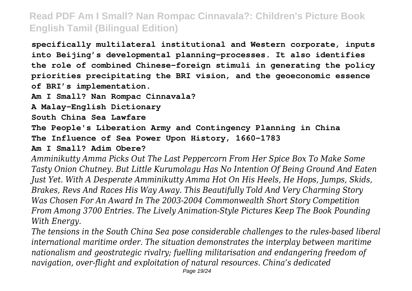**specifically multilateral institutional and Western corporate, inputs into Beijing's developmental planning-processes. It also identifies the role of combined Chinese-foreign stimuli in generating the policy priorities precipitating the BRI vision, and the geoeconomic essence of BRI's implementation.**

**Am I Small? Nan Rompac Cinnavala?**

**A Malay-English Dictionary**

**South China Sea Lawfare**

**The People's Liberation Army and Contingency Planning in China**

**The Influence of Sea Power Upon History, 1660-1783**

**Am I Small? Adim Obere?**

*Amminikutty Amma Picks Out The Last Peppercorn From Her Spice Box To Make Some Tasty Onion Chutney. But Little Kurumolagu Has No Intention Of Being Ground And Eaten Just Yet. With A Desperate Amminikutty Amma Hot On His Heels, He Hops, Jumps, Skids, Brakes, Revs And Races His Way Away. This Beautifully Told And Very Charming Story Was Chosen For An Award In The 2003-2004 Commonwealth Short Story Competition From Among 3700 Entries. The Lively Animation-Style Pictures Keep The Book Pounding With Energy.*

*The tensions in the South China Sea pose considerable challenges to the rules-based liberal international maritime order. The situation demonstrates the interplay between maritime nationalism and geostrategic rivalry; fuelling militarisation and endangering freedom of navigation, over-flight and exploitation of natural resources. China's dedicated*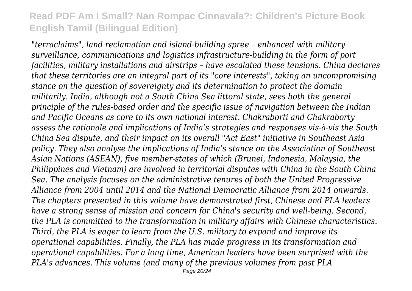*"terraclaims", land reclamation and island-building spree – enhanced with military surveillance, communications and logistics infrastructure-building in the form of port facilities, military installations and airstrips – have escalated these tensions. China declares that these territories are an integral part of its "core interests", taking an uncompromising stance on the question of sovereignty and its determination to protect the domain militarily. India, although not a South China Sea littoral state, sees both the general principle of the rules-based order and the specific issue of navigation between the Indian and Pacific Oceans as core to its own national interest. Chakraborti and Chakraborty assess the rationale and implications of India's strategies and responses vis-à-vis the South China Sea dispute, and their impact on its overall "Act East" initiative in Southeast Asia policy. They also analyse the implications of India's stance on the Association of Southeast Asian Nations (ASEAN), five member-states of which (Brunei, Indonesia, Malaysia, the Philippines and Vietnam) are involved in territorial disputes with China in the South China Sea. The analysis focuses on the administrative tenures of both the United Progressive Alliance from 2004 until 2014 and the National Democratic Alliance from 2014 onwards. The chapters presented in this volume have demonstrated first, Chinese and PLA leaders have a strong sense of mission and concern for China's security and well-being. Second, the PLA is committed to the transformation in military affairs with Chinese characteristics. Third, the PLA is eager to learn from the U.S. military to expand and improve its operational capabilities. Finally, the PLA has made progress in its transformation and operational capabilities. For a long time, American leaders have been surprised with the PLA's advances. This volume (and many of the previous volumes from past PLA*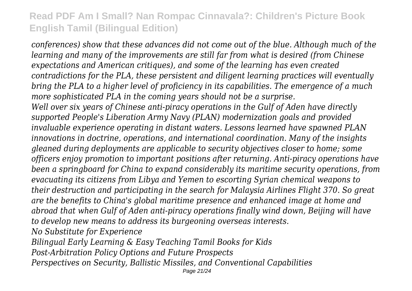*conferences) show that these advances did not come out of the blue. Although much of the learning and many of the improvements are still far from what is desired (from Chinese expectations and American critiques), and some of the learning has even created contradictions for the PLA, these persistent and diligent learning practices will eventually bring the PLA to a higher level of proficiency in its capabilities. The emergence of a much more sophisticated PLA in the coming years should not be a surprise. Well over six years of Chinese anti-piracy operations in the Gulf of Aden have directly supported People's Liberation Army Navy (PLAN) modernization goals and provided invaluable experience operating in distant waters. Lessons learned have spawned PLAN innovations in doctrine, operations, and international coordination. Many of the insights gleaned during deployments are applicable to security objectives closer to home; some officers enjoy promotion to important positions after returning. Anti-piracy operations have been a springboard for China to expand considerably its maritime security operations, from evacuating its citizens from Libya and Yemen to escorting Syrian chemical weapons to their destruction and participating in the search for Malaysia Airlines Flight 370. So great are the benefits to China's global maritime presence and enhanced image at home and abroad that when Gulf of Aden anti-piracy operations finally wind down, Beijing will have to develop new means to address its burgeoning overseas interests. No Substitute for Experience*

*Bilingual Early Learning & Easy Teaching Tamil Books for Kids Post-Arbitration Policy Options and Future Prospects Perspectives on Security, Ballistic Missiles, and Conventional Capabilities*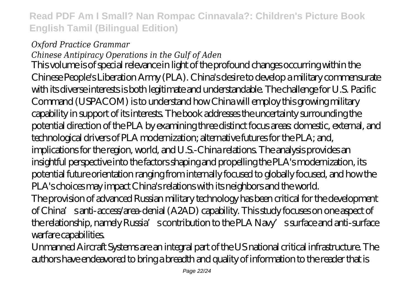### *Oxford Practice Grammar*

*Chinese Antipiracy Operations in the Gulf of Aden*

This volume is of special relevance in light of the profound changes occurring within the Chinese People's Liberation Army (PLA). China's desire to develop a military commensurate with its diverse interests is both legitimate and understandable. The challenge for U.S. Pacific Command (USPACOM) is to understand how China will employ this growing military capability in support of its interests. The book addresses the uncertainty surrounding the potential direction of the PLA by examining three distinct focus areas: domestic, external, and technological drivers of PLA modernization; alternative futures for the PLA; and, implications for the region, world, and U.S.-China relations. The analysis provides an insightful perspective into the factors shaping and propelling the PLA's modernization, its potential future orientation ranging from internally focused to globally focused, and how the PLA's choices may impact China's relations with its neighbors and the world. The provision of advanced Russian military technology has been critical for the development of China's anti-access/area-denial (A2AD) capability. This study focuses on one aspect of the relationship, namely Russia's contribution to the PLA Navy's surface and anti-surface warfare capabilities.

Unmanned Aircraft Systems are an integral part of the US national critical infrastructure. The authors have endeavored to bring a breadth and quality of information to the reader that is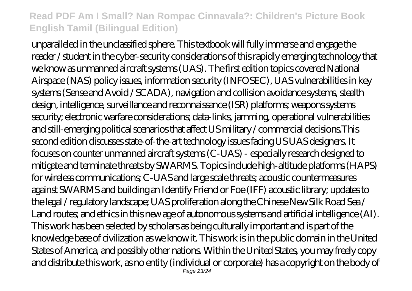unparalleled in the unclassified sphere. This textbook will fully immerse and engage the reader / student in the cyber-security considerations of this rapidly emerging technology that we know as unmanned aircraft systems (UAS). The first edition topics covered National Airspace (NAS) policy issues, information security (INFOSEC), UAS vulnerabilities in key systems (Sense and Avoid / SCADA), navigation and collision avoidance systems, stealth design, intelligence, surveillance and reconnaissance (ISR) platforms; weapons systems security; electronic warfare considerations; data-links, jamming, operational vulnerabilities and still-emerging political scenarios that affect US military / commercial decisions.This second edition discusses state-of-the-art technology issues facing US UAS designers. It focuses on counter unmanned aircraft systems (C-UAS) - especially research designed to mitigate and terminate threats by SWARMS. Topics include high-altitude platforms (HAPS) for wireless communications; C-UAS and large scale threats; acoustic countermeasures against SWARMS and building an Identify Friend or Foe (IFF) acoustic library; updates to the legal / regulatory landscape; UAS proliferation along the Chinese New Silk Road Sea / Land routes; and ethics in this new age of autonomous systems and artificial intelligence (AI). This work has been selected by scholars as being culturally important and is part of the knowledge base of civilization as we know it. This work is in the public domain in the United States of America, and possibly other nations. Within the United States, you may freely copy and distribute this work, as no entity (individual or corporate) has a copyright on the body of Page 23/24